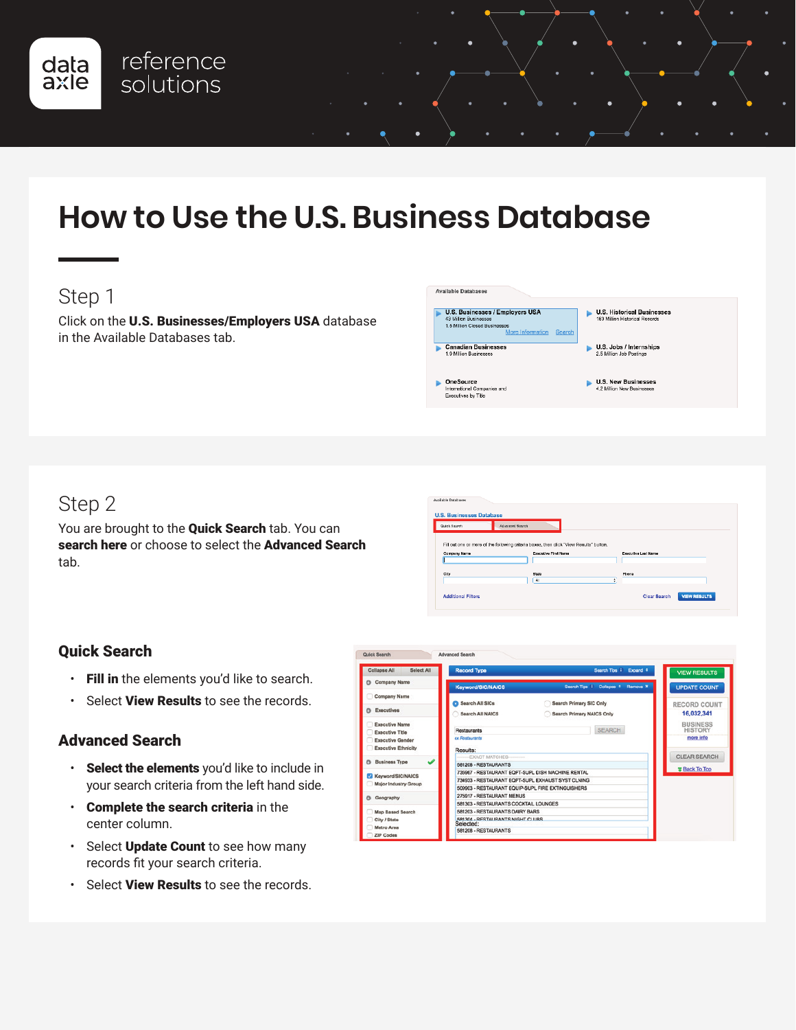

 $\bullet$ 

Available Databases

### Step 1

data<br>axle

Click on the U.S. Businesses/Employers USA database in the Available Databases tab.

reference

solutions

U.S. Businesses / Employers USA **U.S. Historical Businesses**<br>183 Million Historical Records **Canadian Businesses**  $\blacktriangleright$  U.S. Jobs / Internships<br>2.5 Million Job Postings U.S. New Businesses<br>4.2 Million New Businesses OneSource nies and iternational Compa<br>:xecutives by Title

### Step 2

You are brought to the **Quick Search** tab. You can search here or choose to select the Advanced Search tab.

| <b>U.S. Businesses Database</b> |                                                                                         |                     |
|---------------------------------|-----------------------------------------------------------------------------------------|---------------------|
| Quick Search                    | Advanced Search                                                                         |                     |
|                                 |                                                                                         |                     |
|                                 |                                                                                         |                     |
|                                 |                                                                                         |                     |
|                                 | Fill out one or more of the following criteria boxes, then click "View Results" button. |                     |
| Company Name                    | <b>Executive First Name</b>                                                             | Executive Lest Name |
|                                 |                                                                                         |                     |
|                                 |                                                                                         |                     |
| City                            | <b>State</b>                                                                            | Phone               |
|                                 | A.                                                                                      | ÷                   |

#### Quick Search

- Fill in the elements you'd like to search.
- Select View Results to see the records.

#### Advanced Search

- Select the elements you'd like to include in your search criteria from the left hand side.
- Complete the search criteria in the center column.
- Select Update Count to see how many records fit your search criteria.
- Select View Results to see the records.